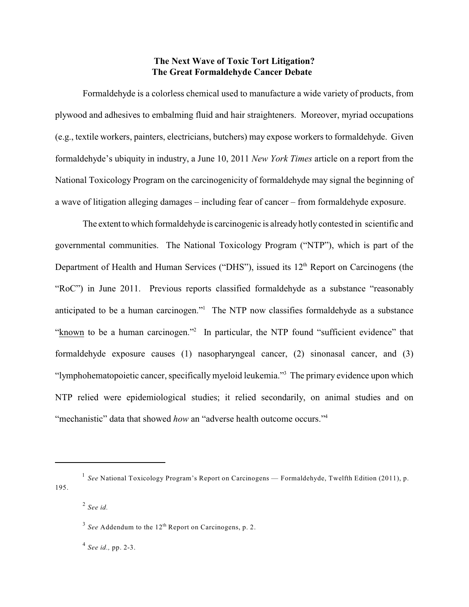## **The Next Wave of Toxic Tort Litigation? The Great Formaldehyde Cancer Debate**

Formaldehyde is a colorless chemical used to manufacture a wide variety of products, from plywood and adhesives to embalming fluid and hair straighteners. Moreover, myriad occupations (e.g., textile workers, painters, electricians, butchers) may expose workers to formaldehyde. Given formaldehyde's ubiquity in industry, a June 10, 2011 *New York Times* article on a report from the National Toxicology Program on the carcinogenicity of formaldehyde may signal the beginning of a wave of litigation alleging damages – including fear of cancer – from formaldehyde exposure.

The extent to which formaldehyde is carcinogenic is already hotly contested in scientific and governmental communities. The National Toxicology Program ("NTP"), which is part of the Department of Health and Human Services ("DHS"), issued its  $12<sup>th</sup>$  Report on Carcinogens (the "RoC") in June 2011. Previous reports classified formaldehyde as a substance "reasonably anticipated to be a human carcinogen." The NTP now classifies formaldehyde as a substance "known to be a human carcinogen."<sup>2</sup> In particular, the NTP found "sufficient evidence" that formaldehyde exposure causes (1) nasopharyngeal cancer, (2) sinonasal cancer, and (3) "lymphohematopoietic cancer, specifically myeloid leukemia."<sup>3</sup> The primary evidence upon which NTP relied were epidemiological studies; it relied secondarily, on animal studies and on "mechanistic" data that showed *how* an "adverse health outcome occurs."<sup>4</sup>

*See id.,* pp. 2-3. 4

<sup>&</sup>lt;sup>1</sup> See National Toxicology Program's Report on Carcinogens — Formaldehyde, Twelfth Edition (2011), p. 195.

*See id.* 2

 $3$  See Addendum to the 12<sup>th</sup> Report on Carcinogens, p. 2.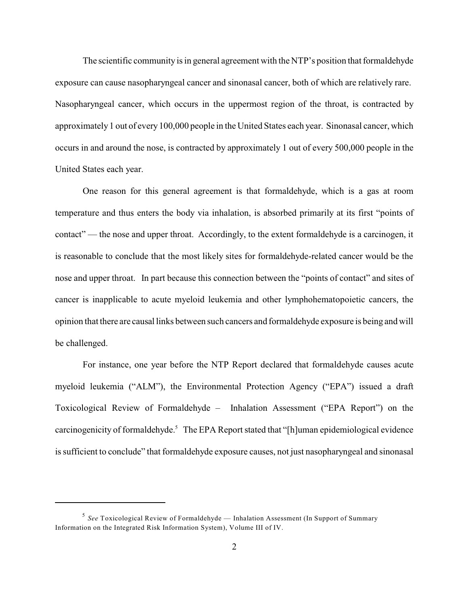The scientific community is in general agreement with the NTP's position that formaldehyde exposure can cause nasopharyngeal cancer and sinonasal cancer, both of which are relatively rare. Nasopharyngeal cancer, which occurs in the uppermost region of the throat, is contracted by approximately 1 out of every100,000 people in the United States each year. Sinonasal cancer, which occurs in and around the nose, is contracted by approximately 1 out of every 500,000 people in the United States each year.

One reason for this general agreement is that formaldehyde, which is a gas at room temperature and thus enters the body via inhalation, is absorbed primarily at its first "points of contact" — the nose and upper throat. Accordingly, to the extent formaldehyde is a carcinogen, it is reasonable to conclude that the most likely sites for formaldehyde-related cancer would be the nose and upper throat. In part because this connection between the "points of contact" and sites of cancer is inapplicable to acute myeloid leukemia and other lymphohematopoietic cancers, the opinion that there are causal links between such cancers and formaldehyde exposure is being and will be challenged.

For instance, one year before the NTP Report declared that formaldehyde causes acute myeloid leukemia ("ALM"), the Environmental Protection Agency ("EPA") issued a draft Toxicological Review of Formaldehyde – Inhalation Assessment ("EPA Report") on the carcinogenicity of formaldehyde.<sup>5</sup> The EPA Report stated that "[h]uman epidemiological evidence is sufficient to conclude" that formaldehyde exposure causes, not just nasopharyngeal and sinonasal

<sup>&</sup>lt;sup>5</sup> See Toxicological Review of Formaldehyde — Inhalation Assessment (In Support of Summary Information on the Integrated Risk Information System), Volume III of IV.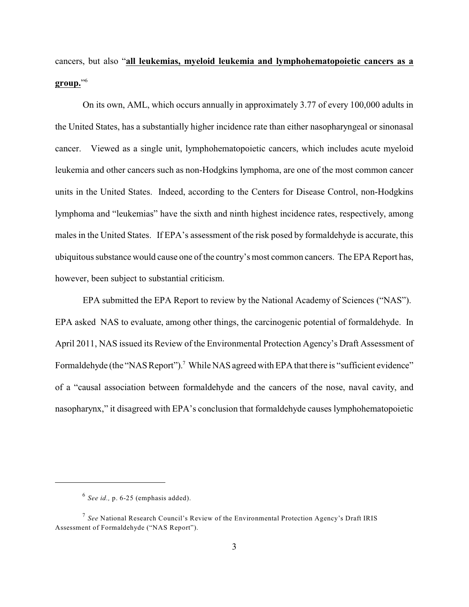cancers, but also "**all leukemias, myeloid leukemia and lymphohematopoietic cancers as a group.**" 6

On its own, AML, which occurs annually in approximately 3.77 of every 100,000 adults in the United States, has a substantially higher incidence rate than either nasopharyngeal or sinonasal cancer. Viewed as a single unit, lymphohematopoietic cancers, which includes acute myeloid leukemia and other cancers such as non-Hodgkins lymphoma, are one of the most common cancer units in the United States. Indeed, according to the Centers for Disease Control, non-Hodgkins lymphoma and "leukemias" have the sixth and ninth highest incidence rates, respectively, among males in the United States. If EPA's assessment of the risk posed by formaldehyde is accurate, this ubiquitous substance would cause one of the country's most common cancers. The EPA Report has, however, been subject to substantial criticism.

EPA submitted the EPA Report to review by the National Academy of Sciences ("NAS"). EPA asked NAS to evaluate, among other things, the carcinogenic potential of formaldehyde. In April 2011, NAS issued its Review of the Environmental Protection Agency's Draft Assessment of Formaldehyde (the "NAS Report").<sup>7</sup> While NAS agreed with EPA that there is "sufficient evidence" of a "causal association between formaldehyde and the cancers of the nose, naval cavity, and nasopharynx," it disagreed with EPA's conclusion that formaldehyde causes lymphohematopoietic

<sup>&</sup>lt;sup>6</sup> See *id.*, p. 6-25 (emphasis added).

<sup>&</sup>lt;sup>7</sup> See National Research Council's Review of the Environmental Protection Agency's Draft IRIS Assessment of Formaldehyde ("NAS Report").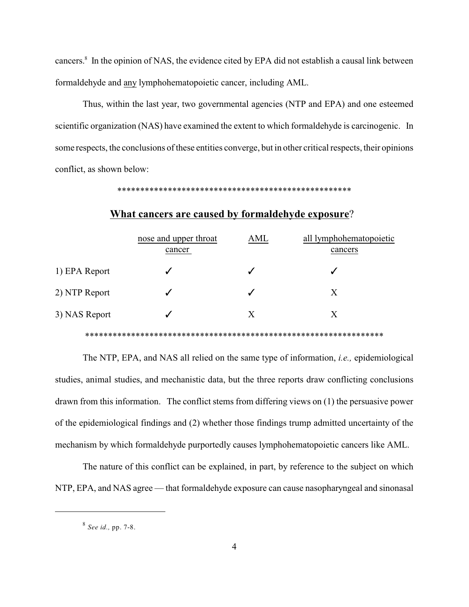cancers. $8 \text{ In the opinion of NAS, the evidence cited by EPA did not establish a causal link between }$ formaldehyde and any lymphohematopoietic cancer, including AML.

Thus, within the last year, two governmental agencies (NTP and EPA) and one esteemed scientific organization (NAS) have examined the extent to which formaldehyde is carcinogenic. In some respects, the conclusions of these entities converge, but in other critical respects, their opinions conflict, as shown below:

\*\*\*\*\*\*\*\*\*\*\*\*\*\*\*\*\*\*\*\*\*\*\*\*\*\*\*\*\*\*\*\*\*\*\*\*\*\*\*\*\*\*\*\*\*\*\*\*\*\*\*

|               |  | nose and upper throat<br>cancer | AML | all lymphohematopoietic<br>cancers |
|---------------|--|---------------------------------|-----|------------------------------------|
| 1) EPA Report |  |                                 |     |                                    |
| 2) NTP Report |  |                                 |     | X                                  |
| 3) NAS Report |  |                                 | X   | X                                  |
|               |  |                                 |     |                                    |

## **What cancers are caused by formaldehyde exposure**?

The NTP, EPA, and NAS all relied on the same type of information, *i.e.,* epidemiological studies, animal studies, and mechanistic data, but the three reports draw conflicting conclusions drawn from this information. The conflict stems from differing views on (1) the persuasive power of the epidemiological findings and (2) whether those findings trump admitted uncertainty of the mechanism by which formaldehyde purportedly causes lymphohematopoietic cancers like AML.

The nature of this conflict can be explained, in part, by reference to the subject on which NTP, EPA, and NAS agree — that formaldehyde exposure can cause nasopharyngeal and sinonasal

*See id.,* pp. 7-8. 8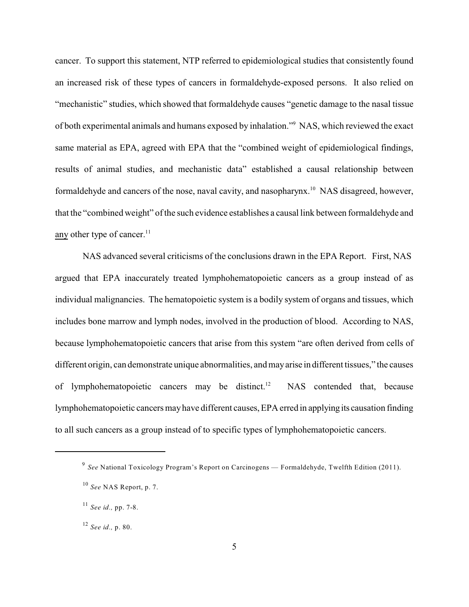cancer. To support this statement, NTP referred to epidemiological studies that consistently found an increased risk of these types of cancers in formaldehyde-exposed persons. It also relied on "mechanistic" studies, which showed that formaldehyde causes "genetic damage to the nasal tissue of both experimental animals and humans exposed by inhalation."<sup>9</sup> NAS, which reviewed the exact same material as EPA, agreed with EPA that the "combined weight of epidemiological findings, results of animal studies, and mechanistic data" established a causal relationship between formaldehyde and cancers of the nose, naval cavity, and nasopharynx.<sup>10</sup> NAS disagreed, however, that the "combined weight" of the such evidence establishes a causal link between formaldehyde and any other type of cancer. $11$ 

NAS advanced several criticisms of the conclusions drawn in the EPA Report. First, NAS argued that EPA inaccurately treated lymphohematopoietic cancers as a group instead of as individual malignancies. The hematopoietic system is a bodily system of organs and tissues, which includes bone marrow and lymph nodes, involved in the production of blood. According to NAS, because lymphohematopoietic cancers that arise from this system "are often derived from cells of different origin, can demonstrate unique abnormalities, and mayarise in different tissues," the causes of lymphohematopoietic cancers may be distinct.<sup>12</sup> NAS contended that, because lymphohematopoietic cancers mayhave different causes, EPA erred in applying its causation finding to all such cancers as a group instead of to specific types of lymphohematopoietic cancers.

<sup>&</sup>lt;sup>9</sup> See National Toxicology Program's Report on Carcinogens — Formaldehyde, Twelfth Edition (2011).

<sup>&</sup>lt;sup>10</sup> See NAS Report, p. 7.

*See id.,* pp. 7-8. 11

*See id.,* p. 80. 12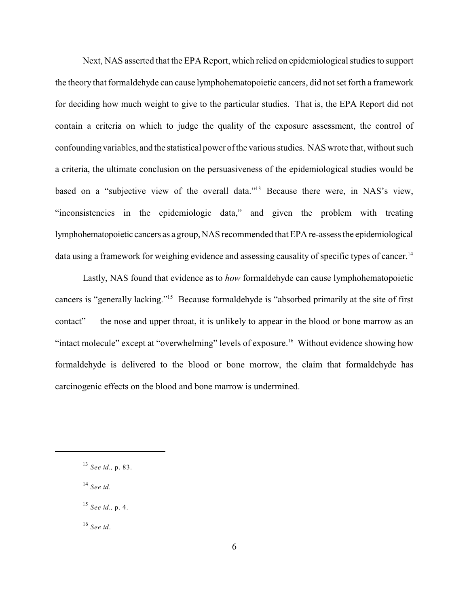Next, NAS asserted that the EPA Report, which relied on epidemiological studies to support the theory that formaldehyde can cause lymphohematopoietic cancers, did not set forth a framework for deciding how much weight to give to the particular studies. That is, the EPA Report did not contain a criteria on which to judge the quality of the exposure assessment, the control of confounding variables, and the statistical power of the various studies. NAS wrote that, without such a criteria, the ultimate conclusion on the persuasiveness of the epidemiological studies would be based on a "subjective view of the overall data."<sup>13</sup> Because there were, in NAS's view, "inconsistencies in the epidemiologic data," and given the problem with treating lymphohematopoietic cancers as a group, NAS recommended that EPA re-assess the epidemiological data using a framework for weighing evidence and assessing causality of specific types of cancer.<sup>14</sup>

Lastly, NAS found that evidence as to *how* formaldehyde can cause lymphohematopoietic cancers is "generally lacking."<sup>15</sup> Because formaldehyde is "absorbed primarily at the site of first contact" — the nose and upper throat, it is unlikely to appear in the blood or bone marrow as an "intact molecule" except at "overwhelming" levels of exposure.<sup>16</sup> Without evidence showing how formaldehyde is delivered to the blood or bone morrow, the claim that formaldehyde has carcinogenic effects on the blood and bone marrow is undermined.

*See id.* 14

*See id*. 16

*See id.,* p. 83. 13

*See id.,* p. 4. 15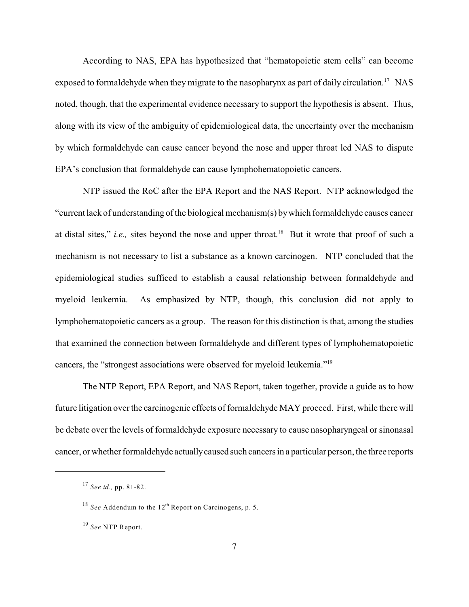According to NAS, EPA has hypothesized that "hematopoietic stem cells" can become exposed to formaldehyde when they migrate to the nasopharynx as part of daily circulation.<sup>17</sup> NAS noted, though, that the experimental evidence necessary to support the hypothesis is absent. Thus, along with its view of the ambiguity of epidemiological data, the uncertainty over the mechanism by which formaldehyde can cause cancer beyond the nose and upper throat led NAS to dispute EPA's conclusion that formaldehyde can cause lymphohematopoietic cancers.

NTP issued the RoC after the EPA Report and the NAS Report. NTP acknowledged the "current lack of understanding of the biological mechanism(s) bywhich formaldehyde causes cancer at distal sites," *i.e.*, sites beyond the nose and upper throat.<sup>18</sup> But it wrote that proof of such a mechanism is not necessary to list a substance as a known carcinogen. NTP concluded that the epidemiological studies sufficed to establish a causal relationship between formaldehyde and myeloid leukemia. As emphasized by NTP, though, this conclusion did not apply to lymphohematopoietic cancers as a group. The reason for this distinction is that, among the studies that examined the connection between formaldehyde and different types of lymphohematopoietic cancers, the "strongest associations were observed for myeloid leukemia."<sup>19</sup>

The NTP Report, EPA Report, and NAS Report, taken together, provide a guide as to how future litigation over the carcinogenic effects of formaldehyde MAY proceed. First, while there will be debate over the levels of formaldehyde exposure necessary to cause nasopharyngeal or sinonasal cancer, or whether formaldehyde actually caused such cancers in a particular person, the three reports

*See id.,* pp. 81-82. 17

 $^{18}$  See Addendum to the  $12<sup>th</sup>$  Report on Carcinogens, p. 5.

<sup>&</sup>lt;sup>19</sup> See NTP Report.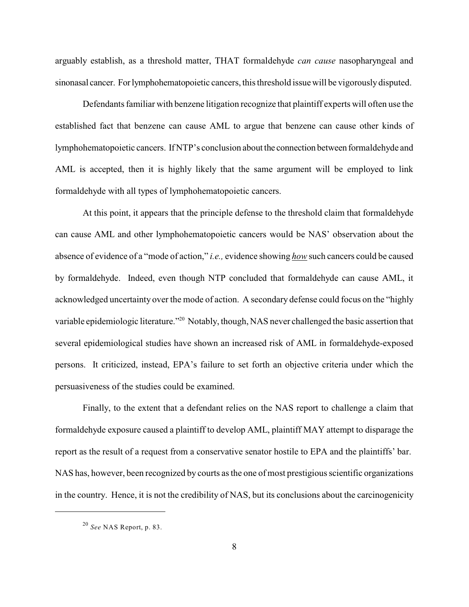arguably establish, as a threshold matter, THAT formaldehyde *can cause* nasopharyngeal and sinonasal cancer. Forlymphohematopoietic cancers, this threshold issue will be vigorouslydisputed.

Defendants familiar with benzene litigation recognize that plaintiff experts will often use the established fact that benzene can cause AML to argue that benzene can cause other kinds of lymphohematopoietic cancers. If NTP's conclusion about the connection between formaldehyde and AML is accepted, then it is highly likely that the same argument will be employed to link formaldehyde with all types of lymphohematopoietic cancers.

At this point, it appears that the principle defense to the threshold claim that formaldehyde can cause AML and other lymphohematopoietic cancers would be NAS' observation about the absence of evidence of a "mode of action," *i.e.,* evidence showing *how* such cancers could be caused by formaldehyde. Indeed, even though NTP concluded that formaldehyde can cause AML, it acknowledged uncertainty over the mode of action. A secondary defense could focus on the "highly variable epidemiologic literature."<sup>20</sup> Notably, though, NAS never challenged the basic assertion that several epidemiological studies have shown an increased risk of AML in formaldehyde-exposed persons. It criticized, instead, EPA's failure to set forth an objective criteria under which the persuasiveness of the studies could be examined.

Finally, to the extent that a defendant relies on the NAS report to challenge a claim that formaldehyde exposure caused a plaintiff to develop AML, plaintiff MAY attempt to disparage the report as the result of a request from a conservative senator hostile to EPA and the plaintiffs' bar. NAS has, however, been recognized by courts as the one of most prestigious scientific organizations in the country. Hence, it is not the credibility of NAS, but its conclusions about the carcinogenicity

*See* NAS Report, p. 83. 20